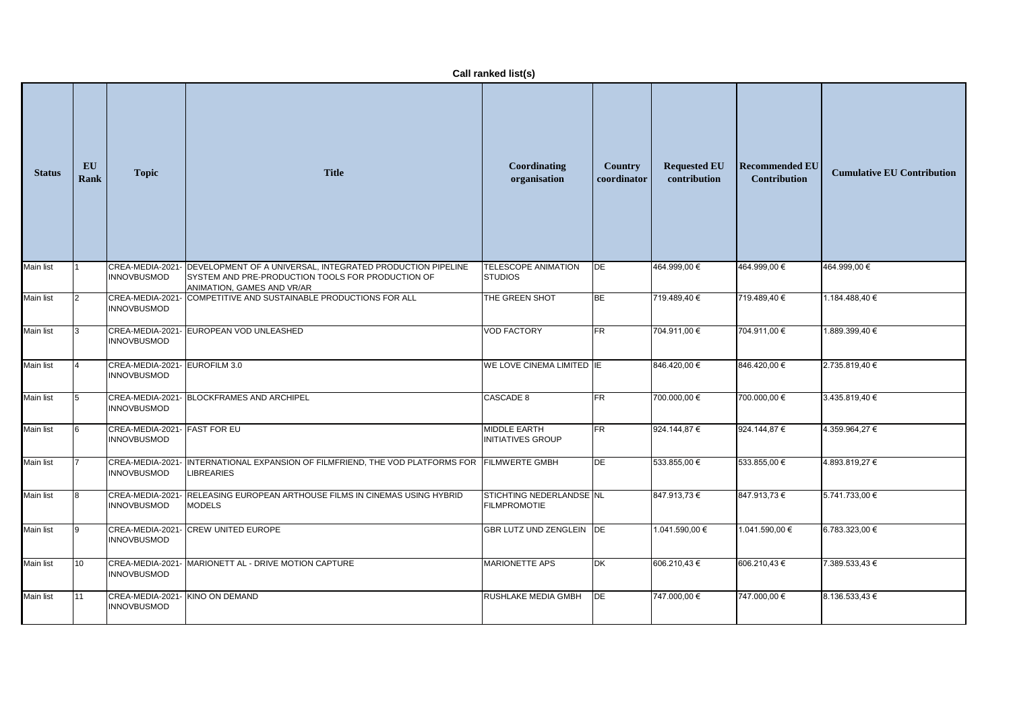**Call ranked list(s)**

| <b>Status</b>    | EU<br>Rank      | <b>Topic</b>                           | <b>Title</b>                                                                                                                                  | Coordinating<br>organisation                    | <b>Country</b><br>coordinator | <b>Requested EU</b><br>contribution | <b>Recommended EU</b><br><b>Contribution</b> | <b>Cumulative EU Contribution</b> |
|------------------|-----------------|----------------------------------------|-----------------------------------------------------------------------------------------------------------------------------------------------|-------------------------------------------------|-------------------------------|-------------------------------------|----------------------------------------------|-----------------------------------|
| Main list        |                 | CREA-MEDIA-2021<br><b>INNOVBUSMOD</b>  | DEVELOPMENT OF A UNIVERSAL, INTEGRATED PRODUCTION PIPELINE<br>SYSTEM AND PRE-PRODUCTION TOOLS FOR PRODUCTION OF<br>ANIMATION, GAMES AND VR/AR | <b>TELESCOPE ANIMATION</b><br><b>STUDIOS</b>    | DE                            | 464.999,00 €                        | 464.999,00 €                                 | 464.999,00 €                      |
| Main list        |                 | CREA-MEDIA-2021<br><b>INNOVBUSMOD</b>  | COMPETITIVE AND SUSTAINABLE PRODUCTIONS FOR ALL                                                                                               | THE GREEN SHOT                                  | <b>BE</b>                     | 719.489,40 €                        | 719.489,40 €                                 | 1.184.488,40€                     |
| Main list        |                 | CREA-MEDIA-2021<br><b>INNOVBUSMOD</b>  | EUROPEAN VOD UNLEASHED                                                                                                                        | <b>VOD FACTORY</b>                              | FR                            | 704.911,00 €                        | 704.911,00 €                                 | 1.889.399,40 €                    |
| Main list        |                 | CREA-MEDIA-2021<br><b>INNOVBUSMOD</b>  | EUROFILM 3.0                                                                                                                                  | WE LOVE CINEMA LIMITED IE                       |                               | 846.420,00 €                        | 846.420,00 €                                 | 2.735.819,40 €                    |
| Main list        |                 | CREA-MEDIA-2021<br><b>INNOVBUSMOD</b>  | BLOCKFRAMES AND ARCHIPEL                                                                                                                      | <b>CASCADE 8</b>                                | FR                            | 700.000,00 €                        | 700.000,00 €                                 | 3.435.819,40 €                    |
| Main list        |                 | CREA-MEDIA-2021<br><b>INNOVBUSMOD</b>  | <b>FAST FOR EU</b>                                                                                                                            | <b>MIDDLE EARTH</b><br><b>INITIATIVES GROUP</b> | FR                            | 924.144,87€                         | 924.144,87€                                  | 4.359.964,27 €                    |
| Main list        |                 | CREA-MEDIA-2021<br><b>INNOVBUSMOD</b>  | NTERNATIONAL EXPANSION OF FILMFRIEND, THE VOD PLATFORMS FOR FILMWERTE GMBH<br><b>IBREARIES</b>                                                |                                                 | DE                            | 533.855,00 €                        | 533.855,00 €                                 | 4.893.819,27 €                    |
| Main list        |                 | CREA-MEDIA-2021<br><b>INNOVBUSMOD</b>  | RELEASING EUROPEAN ARTHOUSE FILMS IN CINEMAS USING HYBRID<br>MODELS                                                                           | STICHTING NEDERLANDSE NL<br><b>FILMPROMOTIE</b> |                               | 847.913,73€                         | 847.913,73 €                                 | 5.741.733,00 €                    |
| <b>Main list</b> |                 | CREA-MEDIA-2021-<br><b>INNOVBUSMOD</b> | <b>CREW UNITED EUROPE</b>                                                                                                                     | <b>GBR LUTZ UND ZENGLEIN DE</b>                 |                               | $1.041.590,00 \in$                  | 1.041.590,00 €                               | 6.783.323,00 €                    |
| Main list        | 10 <sup>°</sup> | CREA-MEDIA-2021<br><b>INNOVBUSMOD</b>  | MARIONETT AL - DRIVE MOTION CAPTURE                                                                                                           | MARIONETTE APS                                  | DK                            | 606.210,43 €                        | 606.210,43 €                                 | 7.389.533,43 €                    |
| <b>Main list</b> | 11              | CREA-MEDIA-2021<br><b>INNOVBUSMOD</b>  | KINO ON DEMAND                                                                                                                                | <b>RUSHLAKE MEDIA GMBH</b>                      | DE                            | 747.000,00 €                        | 747.000,00 €                                 | 8.136.533,43€                     |